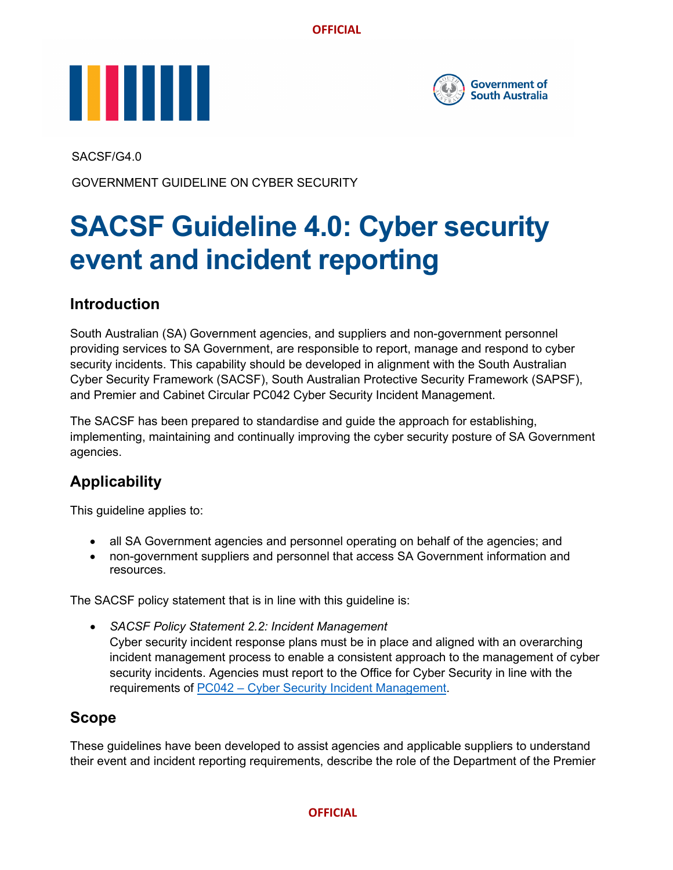



SACSF/G4.0

GOVERNMENT GUIDELINE ON CYBER SECURITY

# **SACSF Guideline 4.0: Cyber security event and incident reporting**

## **Introduction**

South Australian (SA) Government agencies, and suppliers and non-government personnel providing services to SA Government, are responsible to report, manage and respond to cyber security incidents. This capability should be developed in alignment with the South Australian Cyber Security Framework (SACSF), South Australian Protective Security Framework (SAPSF), and Premier and Cabinet Circular PC042 Cyber Security Incident Management.

The SACSF has been prepared to standardise and guide the approach for establishing, implementing, maintaining and continually improving the cyber security posture of SA Government agencies.

# **Applicability**

This guideline applies to:

- all SA Government agencies and personnel operating on behalf of the agencies; and
- non-government suppliers and personnel that access SA Government information and resources.

The SACSF policy statement that is in line with this guideline is:

• *SACSF Policy Statement 2.2: Incident Management* Cyber security incident response plans must be in place and aligned with an overarching incident management process to enable a consistent approach to the management of cyber security incidents. Agencies must report to the Office for Cyber Security in line with the requirements of PC042 – [Cyber Security Incident Management.](https://www.dpc.sa.gov.au/resources-and-publications/premier-and-cabinet-circulars/PC042-Cyber-Security-Incident-Management.pdf)

## **Scope**

These guidelines have been developed to assist agencies and applicable suppliers to understand their event and incident reporting requirements, describe the role of the Department of the Premier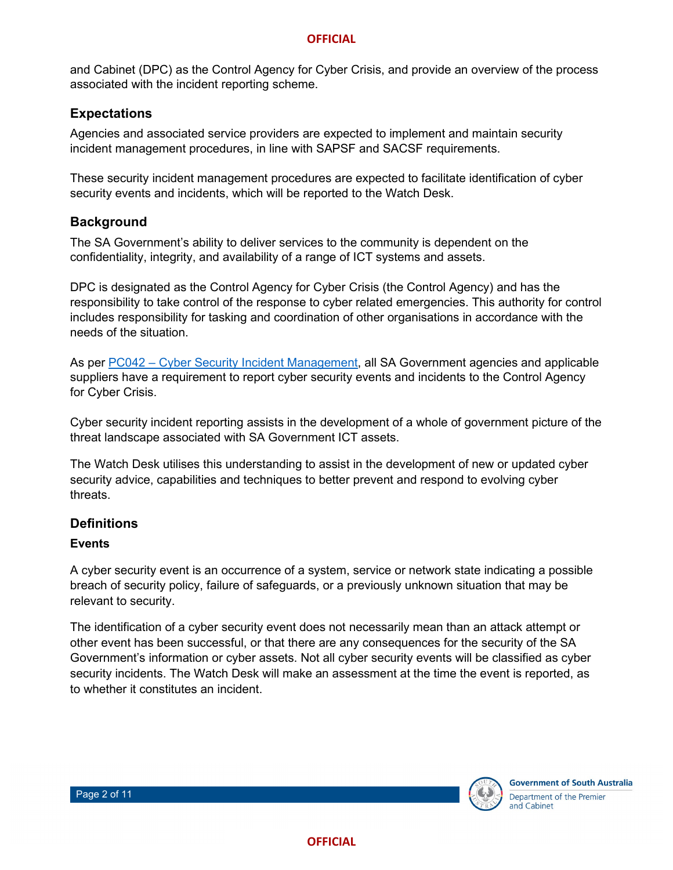and Cabinet (DPC) as the Control Agency for Cyber Crisis, and provide an overview of the process associated with the incident reporting scheme.

### **Expectations**

Agencies and associated service providers are expected to implement and maintain security incident management procedures, in line with SAPSF and SACSF requirements.

These security incident management procedures are expected to facilitate identification of cyber security events and incidents, which will be reported to the Watch Desk.

## **Background**

The SA Government's ability to deliver services to the community is dependent on the confidentiality, integrity, and availability of a range of ICT systems and assets.

DPC is designated as the Control Agency for Cyber Crisis (the Control Agency) and has the responsibility to take control of the response to cyber related emergencies. This authority for control includes responsibility for tasking and coordination of other organisations in accordance with the needs of the situation.

As per PC042 – [Cyber Security Incident Management,](https://www.dpc.sa.gov.au/resources-and-publications/premier-and-cabinet-circulars/PC042-Cyber-Security-Incident-Management.pdf) all SA Government agencies and applicable suppliers have a requirement to report cyber security events and incidents to the Control Agency for Cyber Crisis.

Cyber security incident reporting assists in the development of a whole of government picture of the threat landscape associated with SA Government ICT assets.

The Watch Desk utilises this understanding to assist in the development of new or updated cyber security advice, capabilities and techniques to better prevent and respond to evolving cyber threats.

#### **Definitions**

#### **Events**

A cyber security event is an occurrence of a system, service or network state indicating a possible breach of security policy, failure of safeguards, or a previously unknown situation that may be relevant to security.

The identification of a cyber security event does not necessarily mean than an attack attempt or other event has been successful, or that there are any consequences for the security of the SA Government's information or cyber assets. Not all cyber security events will be classified as cyber security incidents. The Watch Desk will make an assessment at the time the event is reported, as to whether it constitutes an incident.

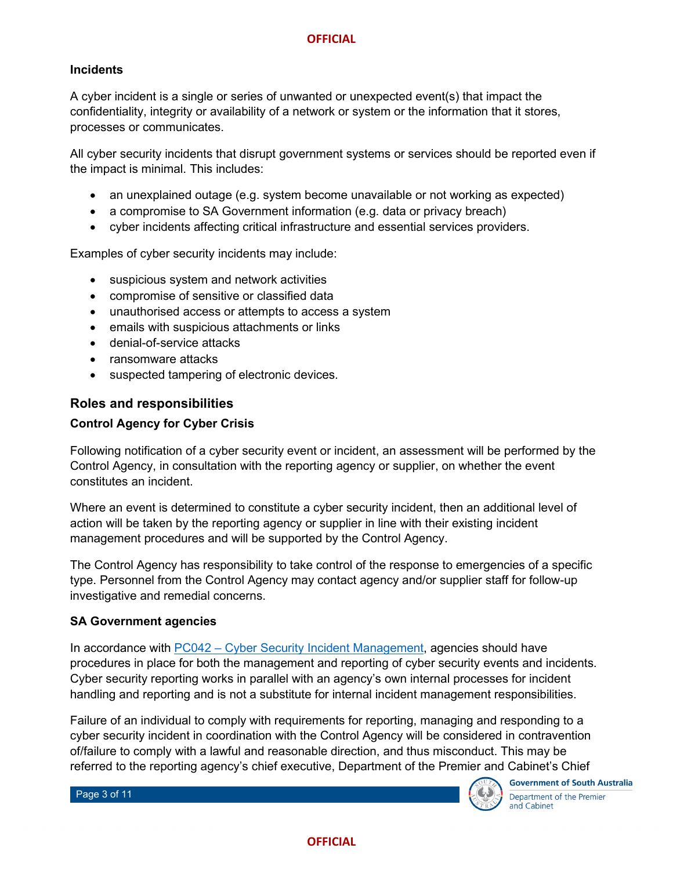#### **Incidents**

A cyber incident is a single or series of unwanted or unexpected event(s) that impact the confidentiality, integrity or availability of a network or system or the information that it stores, processes or communicates.

All cyber security incidents that disrupt government systems or services should be reported even if the impact is minimal. This includes:

- an unexplained outage (e.g. system become unavailable or not working as expected)
- a compromise to SA Government information (e.g. data or privacy breach)
- cyber incidents affecting critical infrastructure and essential services providers.

Examples of cyber security incidents may include:

- suspicious system and network activities
- compromise of sensitive or classified data
- unauthorised access or attempts to access a system
- emails with suspicious attachments or links
- denial-of-service attacks
- ransomware attacks
- suspected tampering of electronic devices.

#### **Roles and responsibilities**

#### **Control Agency for Cyber Crisis**

Following notification of a cyber security event or incident, an assessment will be performed by the Control Agency, in consultation with the reporting agency or supplier, on whether the event constitutes an incident.

Where an event is determined to constitute a cyber security incident, then an additional level of action will be taken by the reporting agency or supplier in line with their existing incident management procedures and will be supported by the Control Agency.

The Control Agency has responsibility to take control of the response to emergencies of a specific type. Personnel from the Control Agency may contact agency and/or supplier staff for follow-up investigative and remedial concerns.

#### **SA Government agencies**

In accordance with PC042 – [Cyber Security Incident Management,](https://www.dpc.sa.gov.au/resources-and-publications/premier-and-cabinet-circulars/PC042-Cyber-Security-Incident-Management.pdf) agencies should have procedures in place for both the management and reporting of cyber security events and incidents. Cyber security reporting works in parallel with an agency's own internal processes for incident handling and reporting and is not a substitute for internal incident management responsibilities.

Failure of an individual to comply with requirements for reporting, managing and responding to a cyber security incident in coordination with the Control Agency will be considered in contravention of/failure to comply with a lawful and reasonable direction, and thus misconduct. This may be referred to the reporting agency's chief executive, Department of the Premier and Cabinet's Chief

Page 3 of 11



**Government of South Australia** Department of the Premier and Cabinet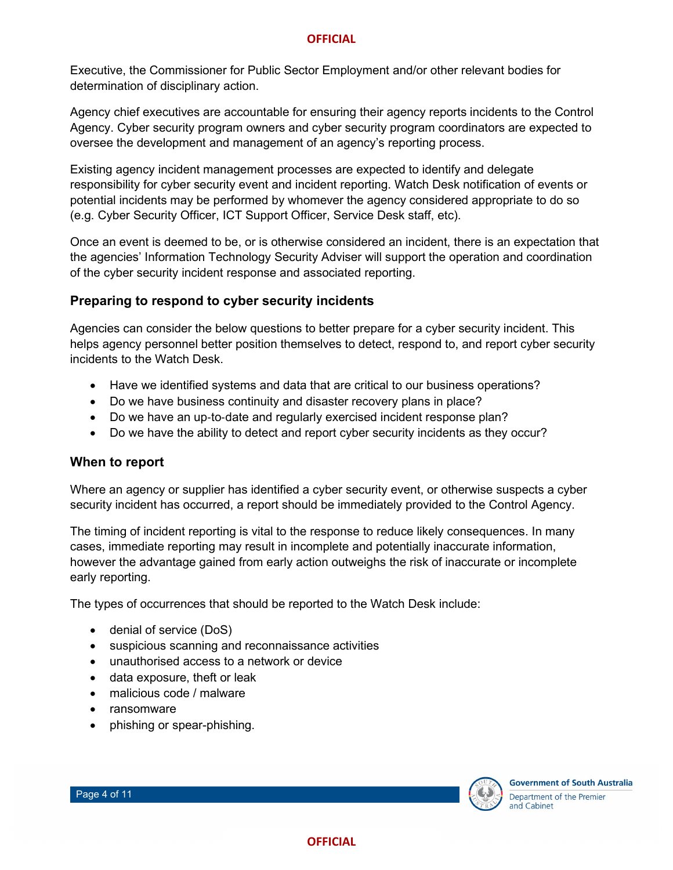Executive, the Commissioner for Public Sector Employment and/or other relevant bodies for determination of disciplinary action.

Agency chief executives are accountable for ensuring their agency reports incidents to the Control Agency. Cyber security program owners and cyber security program coordinators are expected to oversee the development and management of an agency's reporting process.

Existing agency incident management processes are expected to identify and delegate responsibility for cyber security event and incident reporting. Watch Desk notification of events or potential incidents may be performed by whomever the agency considered appropriate to do so (e.g. Cyber Security Officer, ICT Support Officer, Service Desk staff, etc).

Once an event is deemed to be, or is otherwise considered an incident, there is an expectation that the agencies' Information Technology Security Adviser will support the operation and coordination of the cyber security incident response and associated reporting.

#### **Preparing to respond to cyber security incidents**

Agencies can consider the below questions to better prepare for a cyber security incident. This helps agency personnel better position themselves to detect, respond to, and report cyber security incidents to the Watch Desk.

- Have we identified systems and data that are critical to our business operations?
- Do we have business continuity and disaster recovery plans in place?
- Do we have an up-to-date and regularly exercised incident response plan?
- Do we have the ability to detect and report cyber security incidents as they occur?

#### **When to report**

Where an agency or supplier has identified a cyber security event, or otherwise suspects a cyber security incident has occurred, a report should be immediately provided to the Control Agency.

The timing of incident reporting is vital to the response to reduce likely consequences. In many cases, immediate reporting may result in incomplete and potentially inaccurate information, however the advantage gained from early action outweighs the risk of inaccurate or incomplete early reporting.

The types of occurrences that should be reported to the Watch Desk include:

- denial of service (DoS)
- suspicious scanning and reconnaissance activities
- unauthorised access to a network or device
- data exposure, theft or leak
- malicious code / malware
- ransomware
- phishing or spear-phishing.

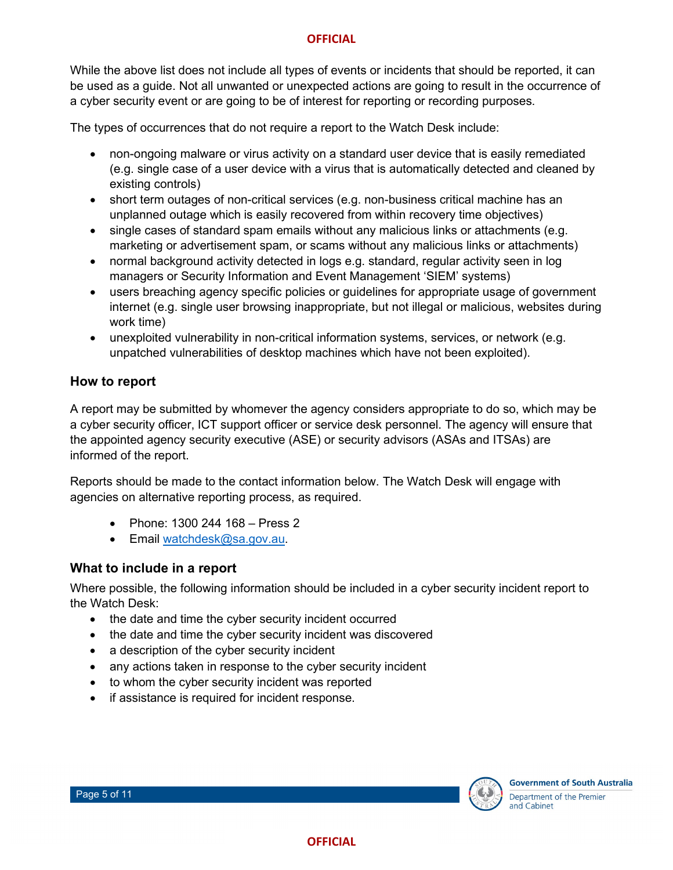While the above list does not include all types of events or incidents that should be reported, it can be used as a guide. Not all unwanted or unexpected actions are going to result in the occurrence of a cyber security event or are going to be of interest for reporting or recording purposes.

The types of occurrences that do not require a report to the Watch Desk include:

- non-ongoing malware or virus activity on a standard user device that is easily remediated (e.g. single case of a user device with a virus that is automatically detected and cleaned by existing controls)
- short term outages of non-critical services (e.g. non-business critical machine has an unplanned outage which is easily recovered from within recovery time objectives)
- single cases of standard spam emails without any malicious links or attachments (e.g. marketing or advertisement spam, or scams without any malicious links or attachments)
- normal background activity detected in logs e.g. standard, regular activity seen in log managers or Security Information and Event Management 'SIEM' systems)
- users breaching agency specific policies or guidelines for appropriate usage of government internet (e.g. single user browsing inappropriate, but not illegal or malicious, websites during work time)
- unexploited vulnerability in non-critical information systems, services, or network (e.g. unpatched vulnerabilities of desktop machines which have not been exploited).

#### **How to report**

A report may be submitted by whomever the agency considers appropriate to do so, which may be a cyber security officer, ICT support officer or service desk personnel. The agency will ensure that the appointed agency security executive (ASE) or security advisors (ASAs and ITSAs) are informed of the report.

Reports should be made to the contact information below. The Watch Desk will engage with agencies on alternative reporting process, as required.

- Phone: 1300 244 168 Press 2
- Email [watchdesk@sa.gov.au.](mailto:watchdesk@sa.gov.au)

#### **What to include in a report**

Where possible, the following information should be included in a cyber security incident report to the Watch Desk:

- the date and time the cyber security incident occurred
- the date and time the cyber security incident was discovered
- a description of the cyber security incident
- any actions taken in response to the cyber security incident
- to whom the cyber security incident was reported
- if assistance is required for incident response.



**Government of South Australia** Department of the Premier and Cabinet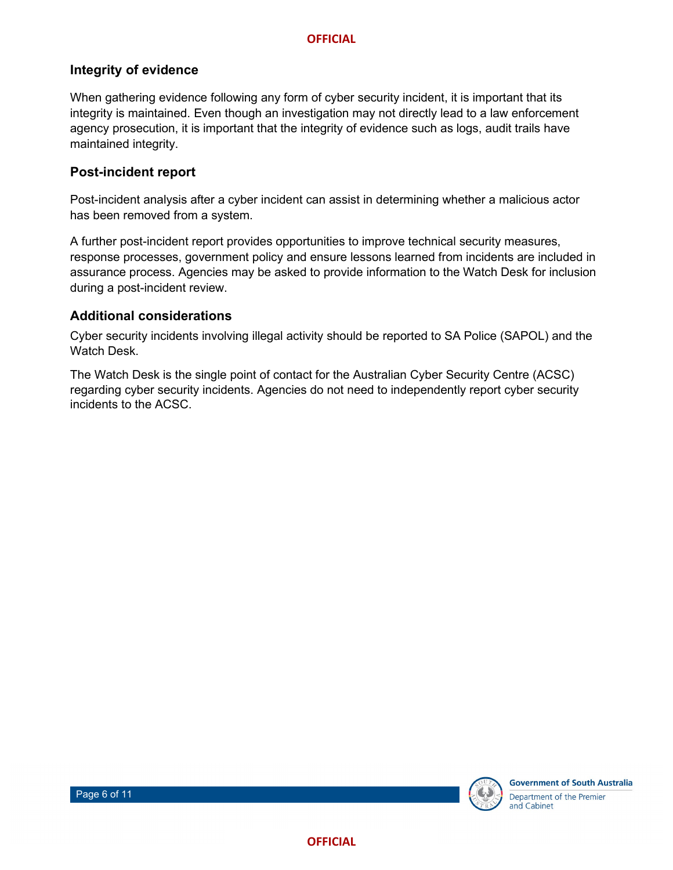#### **Integrity of evidence**

When gathering evidence following any form of cyber security incident, it is important that its integrity is maintained. Even though an investigation may not directly lead to a law enforcement agency prosecution, it is important that the integrity of evidence such as logs, audit trails have maintained integrity.

#### **Post-incident report**

Post-incident analysis after a cyber incident can assist in determining whether a malicious actor has been removed from a system.

A further post-incident report provides opportunities to improve technical security measures, response processes, government policy and ensure lessons learned from incidents are included in assurance process. Agencies may be asked to provide information to the Watch Desk for inclusion during a post-incident review.

#### **Additional considerations**

Cyber security incidents involving illegal activity should be reported to SA Police (SAPOL) and the Watch Desk.

The Watch Desk is the single point of contact for the Australian Cyber Security Centre (ACSC) regarding cyber security incidents. Agencies do not need to independently report cyber security incidents to the ACSC.

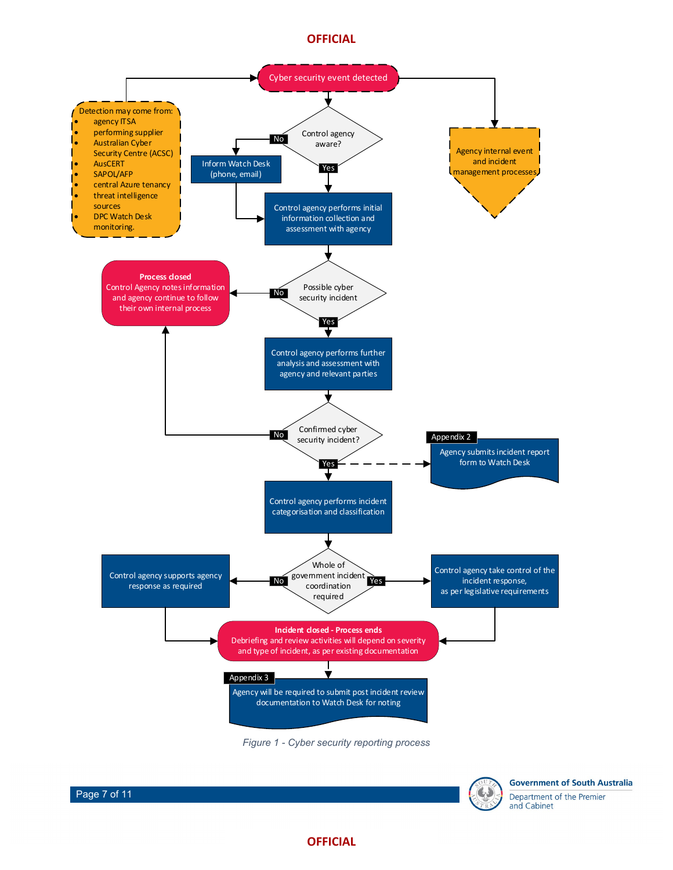







**Government of South Australia** Department of the Premier and Cabinet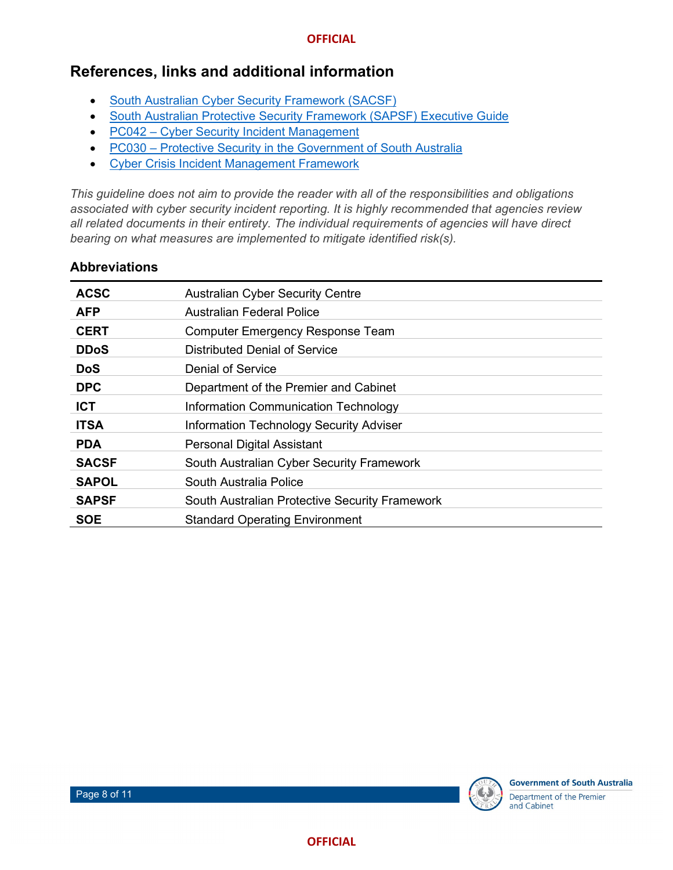## **References, links and additional information**

- [South Australian Cyber Security Framework \(SACSF\)](https://www.dpc.sa.gov.au/__data/assets/pdf_file/0017/126116/South-Australian-Cyber-Security-Framework.pdf)
- [South Australian Protective Security Framework \(SAPSF\) Executive Guide](https://www.dpc.sa.gov.au/__data/assets/pdf_file/0020/208433/SAPSF-Executive-Guide.pdf)
- PC042 [Cyber Security Incident Management](https://www.dpc.sa.gov.au/resources-and-publications/premier-and-cabinet-circulars/PC042-Cyber-Security-Incident-Management.pdf)
- PC030 [Protective Security in the Government of South Australia](https://www.dpc.sa.gov.au/__data/assets/pdf_file/0004/39037/Circular-PC030-Protective-Security-Government-South-Australia.pdf)
- Cyber Crisis [Incident Management Framework](https://www.dpc.sa.gov.au/__data/assets/pdf_file/0017/50039/Cyber-Crisis-Incident-Management-Framework.pdf)

*This guideline does not aim to provide the reader with all of the responsibilities and obligations associated with cyber security incident reporting. It is highly recommended that agencies review all related documents in their entirety. The individual requirements of agencies will have direct bearing on what measures are implemented to mitigate identified risk(s).*

#### **Abbreviations**

| <b>ACSC</b>  | <b>Australian Cyber Security Centre</b>        |
|--------------|------------------------------------------------|
| <b>AFP</b>   | Australian Federal Police                      |
| <b>CERT</b>  | <b>Computer Emergency Response Team</b>        |
| <b>DDoS</b>  | Distributed Denial of Service                  |
| <b>DoS</b>   | Denial of Service                              |
| <b>DPC</b>   | Department of the Premier and Cabinet          |
| <b>ICT</b>   | Information Communication Technology           |
| <b>ITSA</b>  | <b>Information Technology Security Adviser</b> |
| <b>PDA</b>   | <b>Personal Digital Assistant</b>              |
| <b>SACSF</b> | South Australian Cyber Security Framework      |
| <b>SAPOL</b> | South Australia Police                         |
| <b>SAPSF</b> | South Australian Protective Security Framework |
| <b>SOE</b>   | <b>Standard Operating Environment</b>          |

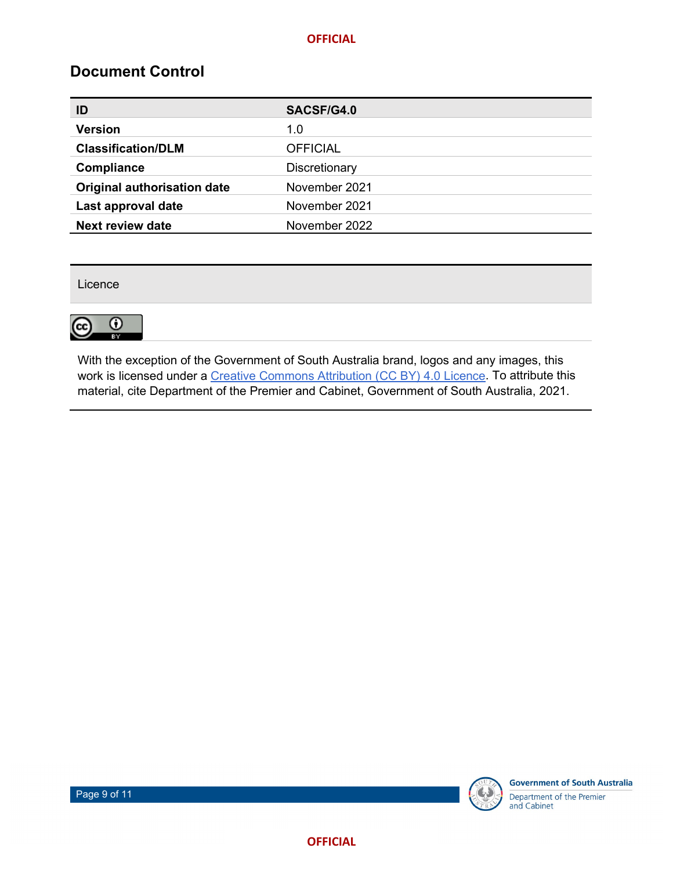## **Document Control**

| ID                          | SACSF/G4.0      |
|-----------------------------|-----------------|
| <b>Version</b>              | 1.0             |
| <b>Classification/DLM</b>   | <b>OFFICIAL</b> |
| Compliance                  | Discretionary   |
| Original authorisation date | November 2021   |
| Last approval date          | November 2021   |
| <b>Next review date</b>     | November 2022   |

Licence



With the exception of the Government of South Australia brand, logos and any images, this work is licensed under a [Creative Commons Attribution \(CC BY\) 4.0 Licence.](http://creativecommons.org/licenses/by/4.0/) To attribute this material, cite Department of the Premier and Cabinet, Government of South Australia, 2021.

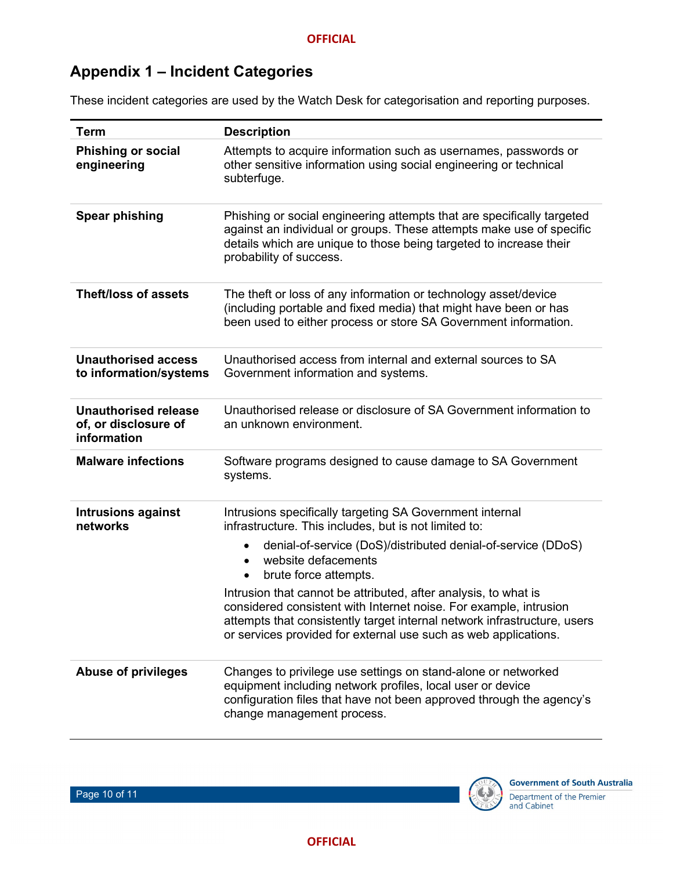# **Appendix 1 – Incident Categories**

These incident categories are used by the Watch Desk for categorisation and reporting purposes.

| <b>Term</b>                                                        | <b>Description</b>                                                                                                                                                                                                                                                                                                                                                                                                                                                                                                                                              |
|--------------------------------------------------------------------|-----------------------------------------------------------------------------------------------------------------------------------------------------------------------------------------------------------------------------------------------------------------------------------------------------------------------------------------------------------------------------------------------------------------------------------------------------------------------------------------------------------------------------------------------------------------|
| <b>Phishing or social</b><br>engineering                           | Attempts to acquire information such as usernames, passwords or<br>other sensitive information using social engineering or technical<br>subterfuge.                                                                                                                                                                                                                                                                                                                                                                                                             |
| <b>Spear phishing</b>                                              | Phishing or social engineering attempts that are specifically targeted<br>against an individual or groups. These attempts make use of specific<br>details which are unique to those being targeted to increase their<br>probability of success.                                                                                                                                                                                                                                                                                                                 |
| <b>Theft/loss of assets</b>                                        | The theft or loss of any information or technology asset/device<br>(including portable and fixed media) that might have been or has<br>been used to either process or store SA Government information.                                                                                                                                                                                                                                                                                                                                                          |
| <b>Unauthorised access</b><br>to information/systems               | Unauthorised access from internal and external sources to SA<br>Government information and systems.                                                                                                                                                                                                                                                                                                                                                                                                                                                             |
| <b>Unauthorised release</b><br>of, or disclosure of<br>information | Unauthorised release or disclosure of SA Government information to<br>an unknown environment.                                                                                                                                                                                                                                                                                                                                                                                                                                                                   |
| <b>Malware infections</b>                                          | Software programs designed to cause damage to SA Government<br>systems.                                                                                                                                                                                                                                                                                                                                                                                                                                                                                         |
| <b>Intrusions against</b><br>networks                              | Intrusions specifically targeting SA Government internal<br>infrastructure. This includes, but is not limited to:<br>denial-of-service (DoS)/distributed denial-of-service (DDoS)<br>$\bullet$<br>website defacements<br>$\bullet$<br>brute force attempts.<br>$\bullet$<br>Intrusion that cannot be attributed, after analysis, to what is<br>considered consistent with Internet noise. For example, intrusion<br>attempts that consistently target internal network infrastructure, users<br>or services provided for external use such as web applications. |
| <b>Abuse of privileges</b>                                         | Changes to privilege use settings on stand-alone or networked<br>equipment including network profiles, local user or device<br>configuration files that have not been approved through the agency's<br>change management process.                                                                                                                                                                                                                                                                                                                               |